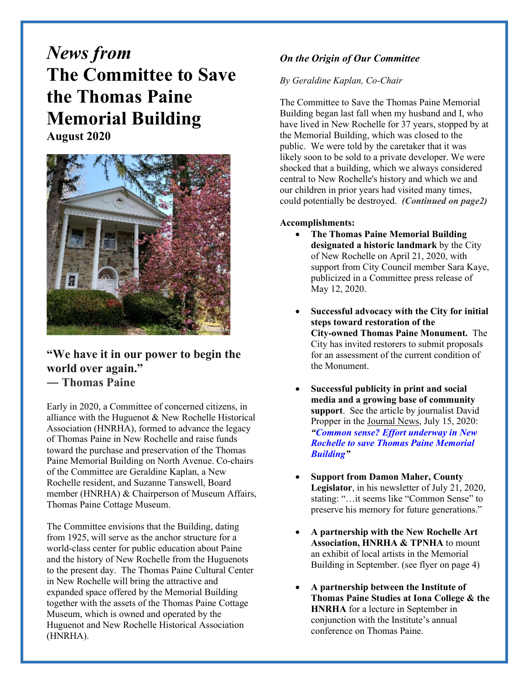## *News from* **The Committee to Save the Thomas Paine Memorial Building**

**August 2020**



**"We have it in our power to begin the world over again." ― Thomas Paine**

Early in 2020, a Committee of concerned citizens, in alliance with the Huguenot & New Rochelle Historical Association (HNRHA), formed to advance the legacy of Thomas Paine in New Rochelle and raise funds toward the purchase and preservation of the Thomas Paine Memorial Building on North Avenue. Co-chairs of the Committee are Geraldine Kaplan, a New Rochelle resident, and Suzanne Tanswell, Board member (HNRHA) & Chairperson of Museum Affairs, Thomas Paine Cottage Museum.

The Committee envisions that the Building, dating from 1925, will serve as the anchor structure for a world-class center for public education about Paine and the history of New Rochelle from the Huguenots to the present day. The Thomas Paine Cultural Center in New Rochelle will bring the attractive and expanded space offered by the Memorial Building together with the assets of the Thomas Paine Cottage Museum, which is owned and operated by the Huguenot and New Rochelle Historical Association (HNRHA).

### *On the Origin of Our Committee*

#### *By Geraldine Kaplan, Co-Chair*

The Committee to Save the Thomas Paine Memorial Building began last fall when my husband and I, who have lived in New Rochelle for 37 years, stopped by at the Memorial Building, which was closed to the public. We were told by the caretaker that it was likely soon to be sold to a private developer. We were shocked that a building, which we always considered central to New Rochelle's history and which we and our children in prior years had visited many times, could potentially be destroyed. *(Continued on page2)*

#### **Accomplishments:**

- **The Thomas Paine Memorial Building designated a historic landmark** by the City of New Rochelle on April 21, 2020, with support from City Council member Sara Kaye, publicized in a Committee press release of May 12, 2020.
- **Successful advocacy with the City for initial steps toward restoration of the City-owned Thomas Paine Monument.** The City has invited restorers to submit proposals for an assessment of the current condition of the Monument.
- **Successful publicity in print and social media and a growing base of community support**. See the article by journalist David Propper in the Journal News, July 15, 2020: *["Common sense? Effort underway in New](https://eur06.safelinks.protection.outlook.com/?url=https%3A%2F%2Fwww.lohud.com%2Fstory%2Fnews%2Flocal%2Fwestchester%2F2020%2F07%2F15%2Fcommon-sense-thomas-paine-legacy-new-rochelle%2F5435217002%2F&data=02%7C01%7C%7C9789dc73b2cf4bdbc1dd08d82e809456%7C84df9e7fe9f640afb435aaaaaaaaaaaa%7C1%7C0%7C637310477057176819&sdata=sUOez%2BlVekv%2BjIrdUFFL0p8Q79pFLNB0ZRG%2FZGs2N0U%3D&reserved=0)  [Rochelle to save Thomas Paine Memorial](https://eur06.safelinks.protection.outlook.com/?url=https%3A%2F%2Fwww.lohud.com%2Fstory%2Fnews%2Flocal%2Fwestchester%2F2020%2F07%2F15%2Fcommon-sense-thomas-paine-legacy-new-rochelle%2F5435217002%2F&data=02%7C01%7C%7C9789dc73b2cf4bdbc1dd08d82e809456%7C84df9e7fe9f640afb435aaaaaaaaaaaa%7C1%7C0%7C637310477057176819&sdata=sUOez%2BlVekv%2BjIrdUFFL0p8Q79pFLNB0ZRG%2FZGs2N0U%3D&reserved=0)  [Building"](https://eur06.safelinks.protection.outlook.com/?url=https%3A%2F%2Fwww.lohud.com%2Fstory%2Fnews%2Flocal%2Fwestchester%2F2020%2F07%2F15%2Fcommon-sense-thomas-paine-legacy-new-rochelle%2F5435217002%2F&data=02%7C01%7C%7C9789dc73b2cf4bdbc1dd08d82e809456%7C84df9e7fe9f640afb435aaaaaaaaaaaa%7C1%7C0%7C637310477057176819&sdata=sUOez%2BlVekv%2BjIrdUFFL0p8Q79pFLNB0ZRG%2FZGs2N0U%3D&reserved=0)*
- **Support from Damon Maher, County Legislator**, in his newsletter of July 21, 2020, stating: "…it seems like "Common Sense" to preserve his memory for future generations."
- **A partnership with the New Rochelle Art Association, HNRHA & TPNHA** to mount an exhibit of local artists in the Memorial Building in September. (see flyer on page 4)
- **A partnership between the Institute of Thomas Paine Studies at Iona College & the HNRHA** for a lecture in September in conjunction with the Institute's annual conference on Thomas Paine.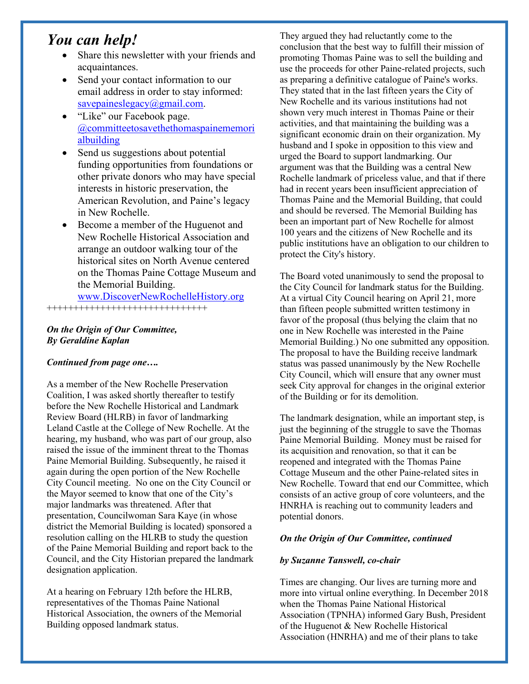### *You can help!*

- Share this newsletter with your friends and acquaintances.
- Send your contact information to our email address in order to stay informed: [savepaineslegacy@gmail.com.](mailto:savepaineslegacy@gmail.com)
- "Like" our Facebook page. [@committeetosavethethomaspainememori](https://www.facebook.com/committetosavethethomaspainememorialbuilding/?ref=settings) [albuilding](https://www.facebook.com/committetosavethethomaspainememorialbuilding/?ref=settings)
- Send us suggestions about potential funding opportunities from foundations or other private donors who may have special interests in historic preservation, the American Revolution, and Paine's legacy in New Rochelle.
- Become a member of the Huguenot and New Rochelle Historical Association and arrange an outdoor walking tour of the historical sites on North Avenue centered on the Thomas Paine Cottage Museum and the Memorial Building.

[www.DiscoverNewRochelleHistory.org](http://www.discovernewrochellehistory.org/) ++++++++++++++++++++++++++++++

#### *On the Origin of Our Committee, By Geraldine Kaplan*

#### *Continued from page one….*

As a member of the New Rochelle Preservation Coalition, I was asked shortly thereafter to testify before the New Rochelle Historical and Landmark Review Board (HLRB) in favor of landmarking Leland Castle at the College of New Rochelle. At the hearing, my husband, who was part of our group, also raised the issue of the imminent threat to the Thomas Paine Memorial Building. Subsequently, he raised it again during the open portion of the New Rochelle City Council meeting. No one on the City Council or the Mayor seemed to know that one of the City's major landmarks was threatened. After that presentation, Councilwoman Sara Kaye (in whose district the Memorial Building is located) sponsored a resolution calling on the HLRB to study the question of the Paine Memorial Building and report back to the Council, and the City Historian prepared the landmark designation application.

At a hearing on February 12th before the HLRB, representatives of the Thomas Paine National Historical Association, the owners of the Memorial Building opposed landmark status.

They argued they had reluctantly come to the conclusion that the best way to fulfill their mission of promoting Thomas Paine was to sell the building and use the proceeds for other Paine-related projects, such as preparing a definitive catalogue of Paine's works. They stated that in the last fifteen years the City of New Rochelle and its various institutions had not shown very much interest in Thomas Paine or their activities, and that maintaining the building was a significant economic drain on their organization. My husband and I spoke in opposition to this view and urged the Board to support landmarking. Our argument was that the Building was a central New Rochelle landmark of priceless value, and that if there had in recent years been insufficient appreciation of Thomas Paine and the Memorial Building, that could and should be reversed. The Memorial Building has been an important part of New Rochelle for almost 100 years and the citizens of New Rochelle and its public institutions have an obligation to our children to protect the City's history.

The Board voted unanimously to send the proposal to the City Council for landmark status for the Building. At a virtual City Council hearing on April 21, more than fifteen people submitted written testimony in favor of the proposal (thus belying the claim that no one in New Rochelle was interested in the Paine Memorial Building.) No one submitted any opposition. The proposal to have the Building receive landmark status was passed unanimously by the New Rochelle City Council, which will ensure that any owner must seek City approval for changes in the original exterior of the Building or for its demolition.

The landmark designation, while an important step, is just the beginning of the struggle to save the Thomas Paine Memorial Building. Money must be raised for its acquisition and renovation, so that it can be reopened and integrated with the Thomas Paine Cottage Museum and the other Paine-related sites in New Rochelle. Toward that end our Committee, which consists of an active group of core volunteers, and the HNRHA is reaching out to community leaders and potential donors.

#### *On the Origin of Our Committee, continued*

#### *by Suzanne Tanswell, co-chair*

Times are changing. Our lives are turning more and more into virtual online everything. In December 2018 when the Thomas Paine National Historical Association (TPNHA) informed Gary Bush, President of the Huguenot & New Rochelle Historical Association (HNRHA) and me of their plans to take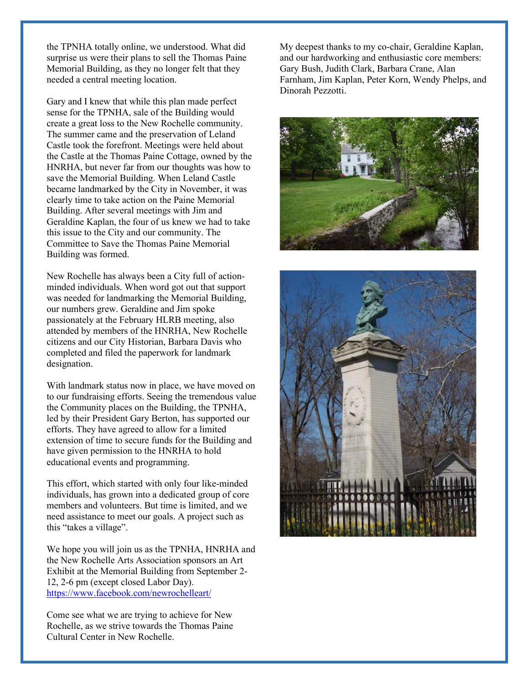the TPNHA totally online, we understood. What did surprise us were their plans to sell the Thomas Paine Memorial Building, as they no longer felt that they needed a central meeting location.

Gary and I knew that while this plan made perfect sense for the TPNHA, sale of the Building would create a great loss to the New Rochelle community. The summer came and the preservation of Leland Castle took the forefront. Meetings were held about the Castle at the Thomas Paine Cottage, owned by the HNRHA, but never far from our thoughts was how to save the Memorial Building. When Leland Castle became landmarked by the City in November, it was clearly time to take action on the Paine Memorial Building. After several meetings with Jim and Geraldine Kaplan, the four of us knew we had to take this issue to the City and our community. The Committee to Save the Thomas Paine Memorial Building was formed.

New Rochelle has always been a City full of actionminded individuals. When word got out that support was needed for landmarking the Memorial Building, our numbers grew. Geraldine and Jim spoke passionately at the February HLRB meeting, also attended by members of the HNRHA, New Rochelle citizens and our City Historian, Barbara Davis who completed and filed the paperwork for landmark designation.

With landmark status now in place, we have moved on to our fundraising efforts. Seeing the tremendous value the Community places on the Building, the TPNHA, led by their President Gary Berton, has supported our efforts. They have agreed to allow for a limited extension of time to secure funds for the Building and have given permission to the HNRHA to hold educational events and programming.

This effort, which started with only four like-minded individuals, has grown into a dedicated group of core members and volunteers. But time is limited, and we need assistance to meet our goals. A project such as this "takes a village".

We hope you will join us as the TPNHA, HNRHA and the New Rochelle Arts Association sponsors an Art Exhibit at the Memorial Building from September 2- 12, 2-6 pm (except closed Labor Day). <https://www.facebook.com/newrochelleart/>

Come see what we are trying to achieve for New Rochelle, as we strive towards the Thomas Paine Cultural Center in New Rochelle.

My deepest thanks to my co-chair, Geraldine Kaplan, and our hardworking and enthusiastic core members: Gary Bush, Judith Clark, Barbara Crane, Alan Farnham, Jim Kaplan, Peter Korn, Wendy Phelps, and Dinorah Pezzotti.